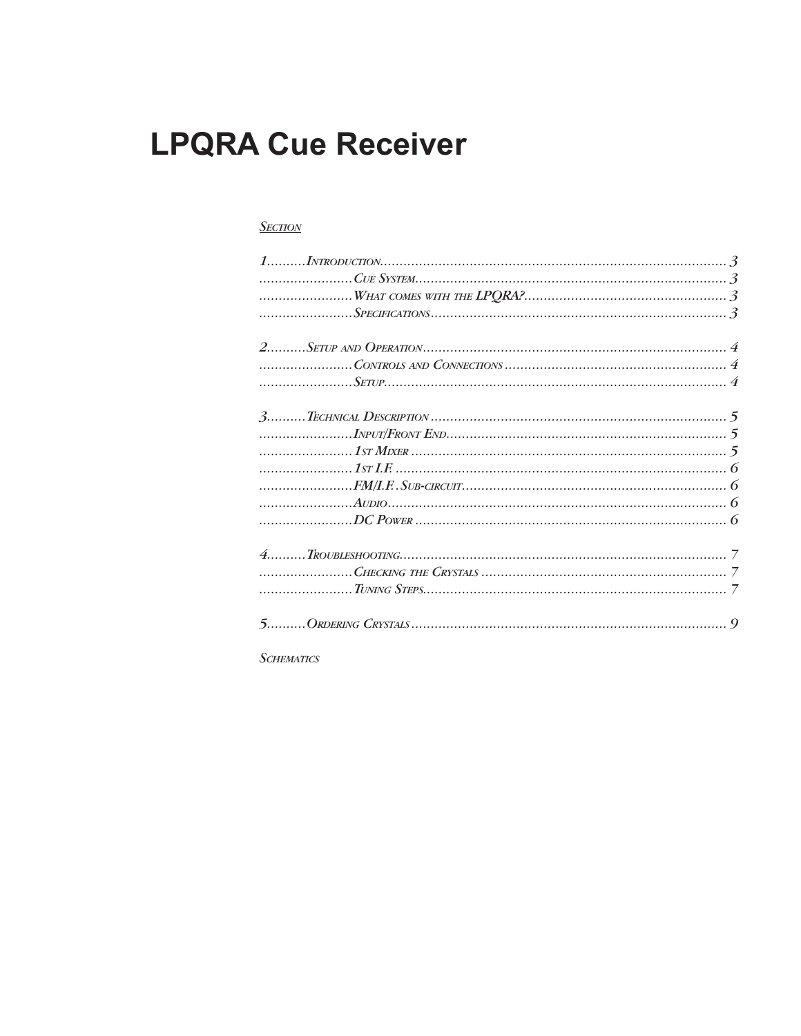# **LPQRA Cue Receiver**

### **SECTION**

**SCHEMATICS**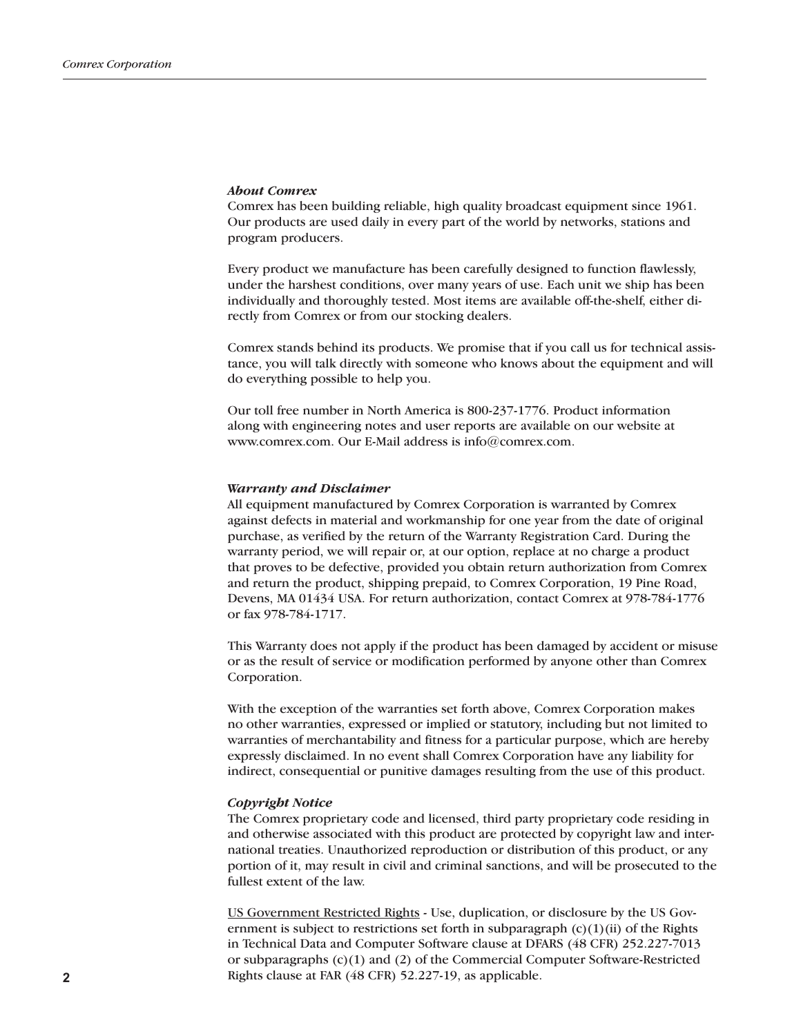### *About Comrex*

Comrex has been building reliable, high quality broadcast equipment since 1961. Our products are used daily in every part of the world by networks, stations and program producers.

Every product we manufacture has been carefully designed to function flawlessly, under the harshest conditions, over many years of use. Each unit we ship has been individually and thoroughly tested. Most items are available off-the-shelf, either directly from Comrex or from our stocking dealers.

Comrex stands behind its products. We promise that if you call us for technical assistance, you will talk directly with someone who knows about the equipment and will do everything possible to help you.

Our toll free number in North America is 800-237-1776. Product information along with engineering notes and user reports are available on our website at www.comrex.com. Our E-Mail address is info@comrex.com.

### *Warranty and Disclaimer*

All equipment manufactured by Comrex Corporation is warranted by Comrex against defects in material and workmanship for one year from the date of original purchase, as verified by the return of the Warranty Registration Card. During the warranty period, we will repair or, at our option, replace at no charge a product that proves to be defective, provided you obtain return authorization from Comrex and return the product, shipping prepaid, to Comrex Corporation, 19 Pine Road, Devens, MA 01434 USA. For return authorization, contact Comrex at 978-784-1776 or fax 978-784-1717.

This Warranty does not apply if the product has been damaged by accident or misuse or as the result of service or modification performed by anyone other than Comrex Corporation.

With the exception of the warranties set forth above, Comrex Corporation makes no other warranties, expressed or implied or statutory, including but not limited to warranties of merchantability and fitness for a particular purpose, which are hereby expressly disclaimed. In no event shall Comrex Corporation have any liability for indirect, consequential or punitive damages resulting from the use of this product.

### *Copyright Notice*

The Comrex proprietary code and licensed, third party proprietary code residing in and otherwise associated with this product are protected by copyright law and international treaties. Unauthorized reproduction or distribution of this product, or any portion of it, may result in civil and criminal sanctions, and will be prosecuted to the fullest extent of the law.

US Government Restricted Rights - Use, duplication, or disclosure by the US Government is subject to restrictions set forth in subparagraph  $(c)(1)(ii)$  of the Rights in Technical Data and Computer Software clause at DFARS (48 CFR) 252.227-7013 or subparagraphs (c)(1) and (2) of the Commercial Computer Software-Restricted Rights clause at FAR (48 CFR) 52.227-19, as applicable.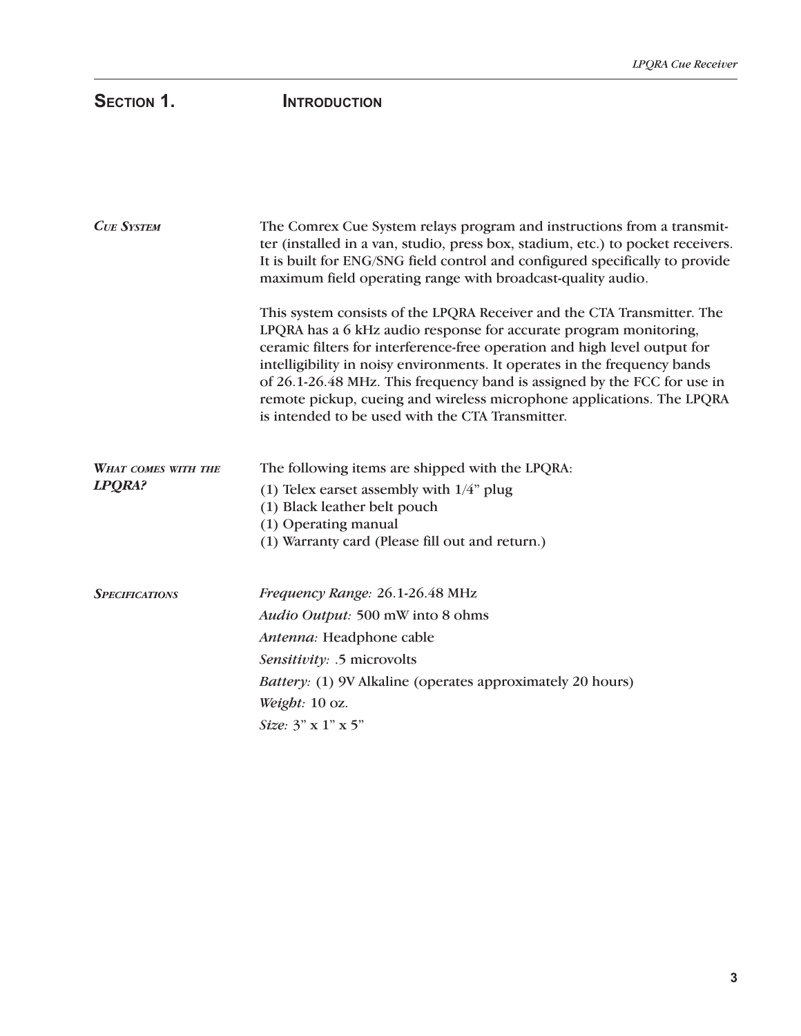# SECTION 1. **INTRODUCTION**

| <b>CUE SYSTEM</b>             | The Comrex Cue System relays program and instructions from a transmit-<br>ter (installed in a van, studio, press box, stadium, etc.) to pocket receivers.<br>It is built for ENG/SNG field control and configured specifically to provide<br>maximum field operating range with broadcast-quality audio.                                                                                                                                                                                                        |
|-------------------------------|-----------------------------------------------------------------------------------------------------------------------------------------------------------------------------------------------------------------------------------------------------------------------------------------------------------------------------------------------------------------------------------------------------------------------------------------------------------------------------------------------------------------|
|                               | This system consists of the LPQRA Receiver and the CTA Transmitter. The<br>LPQRA has a 6 kHz audio response for accurate program monitoring,<br>ceramic filters for interference-free operation and high level output for<br>intelligibility in noisy environments. It operates in the frequency bands<br>of 26.1-26.48 MHz. This frequency band is assigned by the FCC for use in<br>remote pickup, cueing and wireless microphone applications. The LPQRA<br>is intended to be used with the CTA Transmitter. |
| WHAT COMES WITH THE<br>LPQRA? | The following items are shipped with the LPQRA:<br>(1) Telex earset assembly with $1/4$ " plug<br>(1) Black leather belt pouch<br>(1) Operating manual<br>(1) Warranty card (Please fill out and return.)                                                                                                                                                                                                                                                                                                       |
| <b>SPECIFICATIONS</b>         | Frequency Range: 26.1-26.48 MHz<br>Audio Output: 500 mW into 8 ohms<br>Antenna: Headphone cable<br>Sensitivity: .5 microvolts<br>Battery: (1) 9V Alkaline (operates approximately 20 hours)<br>Weight: 10 oz.<br>Size: 3" x 1" x 5"                                                                                                                                                                                                                                                                             |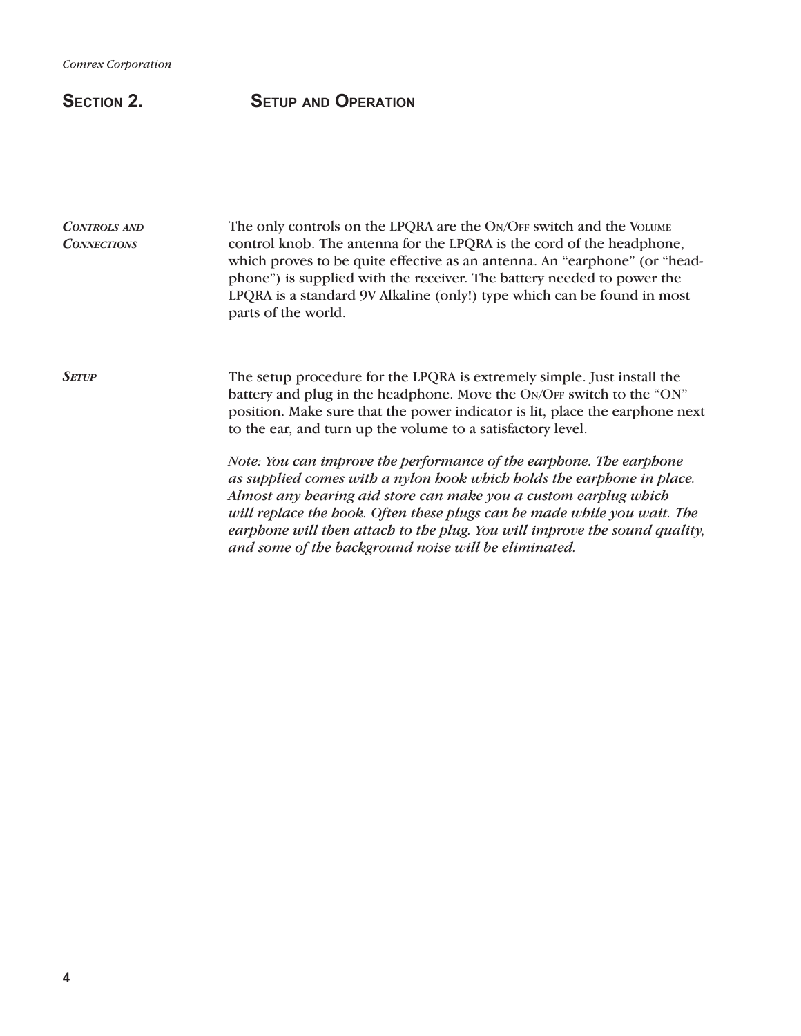## **SECTION 2.** SETUP AND OPERATION

| <b>CONTROLS AND</b><br><b>CONNECTIONS</b> | The only controls on the LPQRA are the ON/OFF switch and the VOLUME<br>control knob. The antenna for the LPQRA is the cord of the headphone,<br>which proves to be quite effective as an antenna. An "earphone" (or "head-<br>phone") is supplied with the receiver. The battery needed to power the<br>LPQRA is a standard 9V Alkaline (only!) type which can be found in most<br>parts of the world.                              |
|-------------------------------------------|-------------------------------------------------------------------------------------------------------------------------------------------------------------------------------------------------------------------------------------------------------------------------------------------------------------------------------------------------------------------------------------------------------------------------------------|
| <b>SETUP</b>                              | The setup procedure for the LPQRA is extremely simple. Just install the<br>battery and plug in the headphone. Move the ON/OFF switch to the "ON"<br>position. Make sure that the power indicator is lit, place the earphone next<br>to the ear, and turn up the volume to a satisfactory level.                                                                                                                                     |
|                                           | Note: You can improve the performance of the earphone. The earphone<br>as supplied comes with a nylon book which holds the earphone in place.<br>Almost any bearing aid store can make you a custom earplug which<br>will replace the hook. Often these plugs can be made while you wait. The<br>earphone will then attach to the plug. You will improve the sound quality,<br>and some of the background noise will be eliminated. |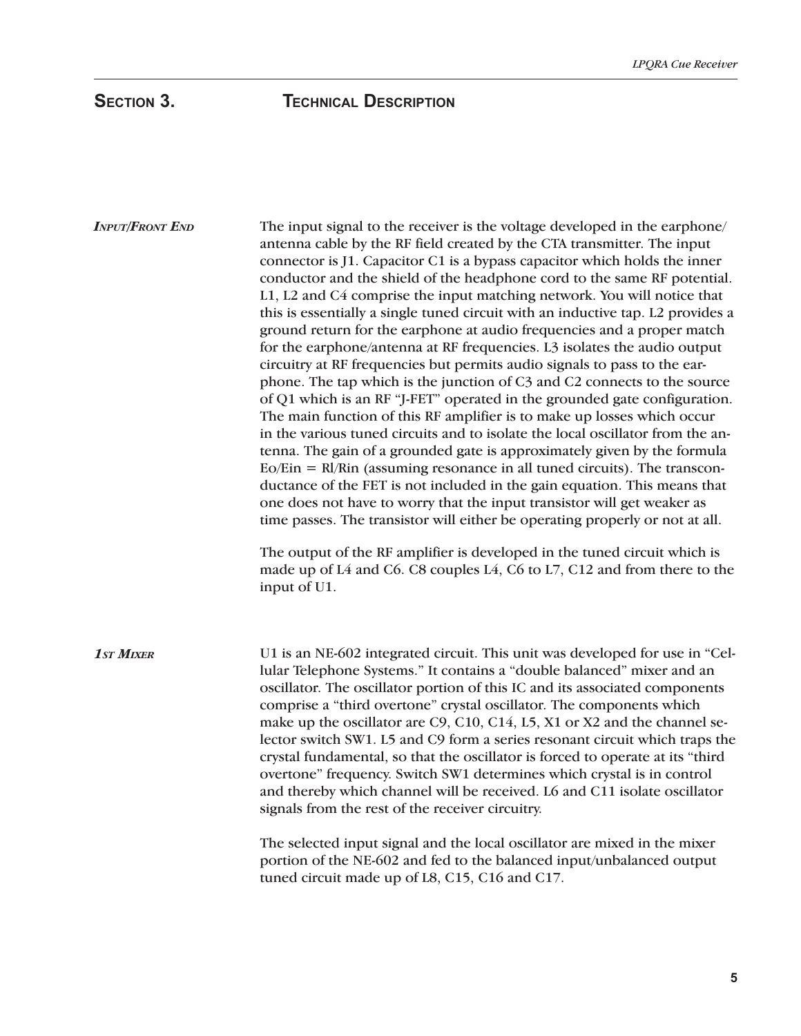The input signal to the receiver is the voltage developed in the earphone/ antenna cable by the RF field created by the CTA transmitter. The input connector is J1. Capacitor C1 is a bypass capacitor which holds the inner conductor and the shield of the headphone cord to the same RF potential. L1, L2 and C4 comprise the input matching network. You will notice that this is essentially a single tuned circuit with an inductive tap. L2 provides a ground return for the earphone at audio frequencies and a proper match for the earphone/antenna at RF frequencies. L3 isolates the audio output circuitry at RF frequencies but permits audio signals to pass to the earphone. The tap which is the junction of C3 and C2 connects to the source of Q1 which is an RF "J-FET" operated in the grounded gate configuration. The main function of this RF amplifier is to make up losses which occur in the various tuned circuits and to isolate the local oscillator from the antenna. The gain of a grounded gate is approximately given by the formula Eo/Ein = Rl/Rin (assuming resonance in all tuned circuits). The transconductance of the FET is not included in the gain equation. This means that one does not have to worry that the input transistor will get weaker as time passes. The transistor will either be operating properly or not at all. The output of the RF amplifier is developed in the tuned circuit which is made up of L4 and C6. C8 couples L4, C6 to L7, C12 and from there to the input of U1. U1 is an NE-602 integrated circuit. This unit was developed for use in "Cellular Telephone Systems." It contains a "double balanced" mixer and an oscillator. The oscillator portion of this IC and its associated components comprise a "third overtone" crystal oscillator. The components which make up the oscillator are C9, C10, C14, L5, X1 or X2 and the channel selector switch SW1. L5 and C9 form a series resonant circuit which traps the crystal fundamental, so that the oscillator is forced to operate at its "third overtone" frequency. Switch SW1 determines which crystal is in control and thereby which channel will be received. L6 and C11 isolate oscillator *INPUT/FRONT END 1ST MIXER*

signals from the rest of the receiver circuitry.

The selected input signal and the local oscillator are mixed in the mixer portion of the NE-602 and fed to the balanced input/unbalanced output tuned circuit made up of L8, C15, C16 and C17.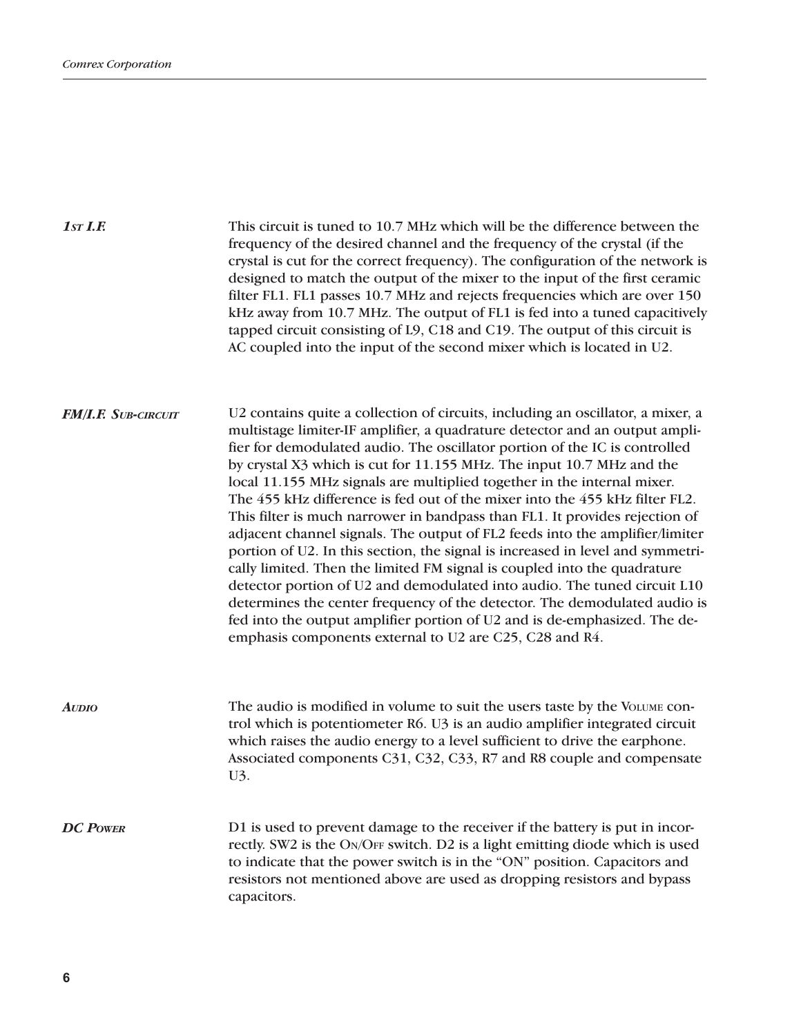This circuit is tuned to 10.7 MHz which will be the difference between the frequency of the desired channel and the frequency of the crystal (if the crystal is cut for the correct frequency). The configuration of the network is designed to match the output of the mixer to the input of the first ceramic filter FL1. FL1 passes 10.7 MHz and rejects frequencies which are over 150 kHz away from 10.7 MHz. The output of FL1 is fed into a tuned capacitively tapped circuit consisting of L9, C18 and C19. The output of this circuit is AC coupled into the input of the second mixer which is located in U2. U2 contains quite a collection of circuits, including an oscillator, a mixer, a multistage limiter-IF amplifier, a quadrature detector and an output amplifier for demodulated audio. The oscillator portion of the IC is controlled by crystal X3 which is cut for 11.155 MHz. The input 10.7 MHz and the local 11.155 MHz signals are multiplied together in the internal mixer. The 455 kHz difference is fed out of the mixer into the 455 kHz filter FL2. This filter is much narrower in bandpass than FL1. It provides rejection of adjacent channel signals. The output of FL2 feeds into the amplifier/limiter portion of U2. In this section, the signal is increased in level and symmetrically limited. Then the limited FM signal is coupled into the quadrature detector portion of U2 and demodulated into audio. The tuned circuit L10 determines the center frequency of the detector. The demodulated audio is fed into the output amplifier portion of U2 and is de-emphasized. The deemphasis components external to U2 are C25, C28 and R4. The audio is modified in volume to suit the users taste by the VOLUME control which is potentiometer R6. U3 is an audio amplifier integrated circuit which raises the audio energy to a level sufficient to drive the earphone. Associated components C31, C32, C33, R7 and R8 couple and compensate U3. D1 is used to prevent damage to the receiver if the battery is put in incorrectly. SW2 is the ON/OFF switch. D2 is a light emitting diode which is used to indicate that the power switch is in the "ON" position. Capacitors and resistors not mentioned above are used as dropping resistors and bypass capacitors. *1ST I.F. FM/I.F. SUB-CIRCUIT AUDIO DC POWER*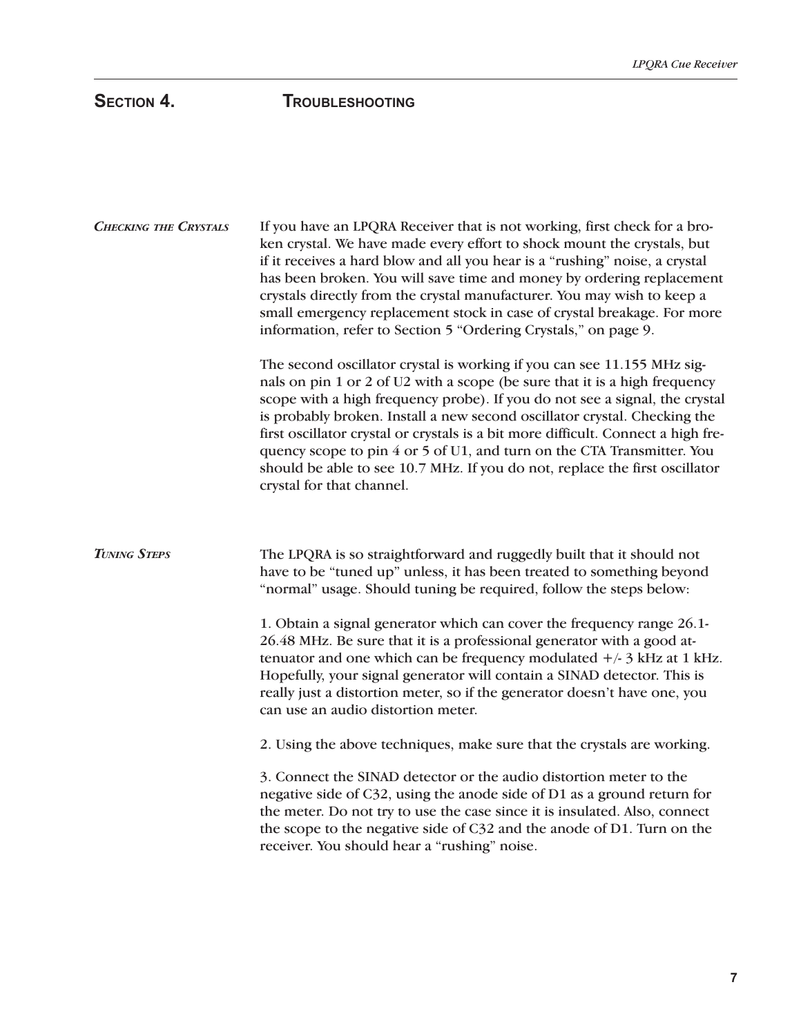# **SECTION 4. TROUBLESHOOTING**

| <b>CHECKING THE CRYSTALS</b> | If you have an LPQRA Receiver that is not working, first check for a bro-<br>ken crystal. We have made every effort to shock mount the crystals, but<br>if it receives a hard blow and all you hear is a "rushing" noise, a crystal<br>has been broken. You will save time and money by ordering replacement<br>crystals directly from the crystal manufacturer. You may wish to keep a<br>small emergency replacement stock in case of crystal breakage. For more<br>information, refer to Section 5 "Ordering Crystals," on page 9.                                                                                                            |
|------------------------------|--------------------------------------------------------------------------------------------------------------------------------------------------------------------------------------------------------------------------------------------------------------------------------------------------------------------------------------------------------------------------------------------------------------------------------------------------------------------------------------------------------------------------------------------------------------------------------------------------------------------------------------------------|
|                              | The second oscillator crystal is working if you can see 11.155 MHz sig-<br>nals on pin 1 or 2 of U2 with a scope (be sure that it is a high frequency<br>scope with a high frequency probe). If you do not see a signal, the crystal<br>is probably broken. Install a new second oscillator crystal. Checking the<br>first oscillator crystal or crystals is a bit more difficult. Connect a high fre-<br>quency scope to pin 4 or 5 of U1, and turn on the CTA Transmitter. You<br>should be able to see 10.7 MHz. If you do not, replace the first oscillator<br>crystal for that channel.                                                     |
| <b>TUNING STEPS</b>          | The LPQRA is so straightforward and ruggedly built that it should not<br>have to be "tuned up" unless, it has been treated to something beyond<br>"normal" usage. Should tuning be required, follow the steps below:<br>1. Obtain a signal generator which can cover the frequency range 26.1-<br>26.48 MHz. Be sure that it is a professional generator with a good at-<br>tenuator and one which can be frequency modulated $+/-3$ kHz at 1 kHz.<br>Hopefully, your signal generator will contain a SINAD detector. This is<br>really just a distortion meter, so if the generator doesn't have one, you<br>can use an audio distortion meter. |
|                              | 2. Using the above techniques, make sure that the crystals are working.                                                                                                                                                                                                                                                                                                                                                                                                                                                                                                                                                                          |
|                              | 3. Connect the SINAD detector or the audio distortion meter to the<br>negative side of C32, using the anode side of D1 as a ground return for<br>the meter. Do not try to use the case since it is insulated. Also, connect<br>the scope to the negative side of C32 and the anode of D1. Turn on the<br>receiver. You should hear a "rushing" noise.                                                                                                                                                                                                                                                                                            |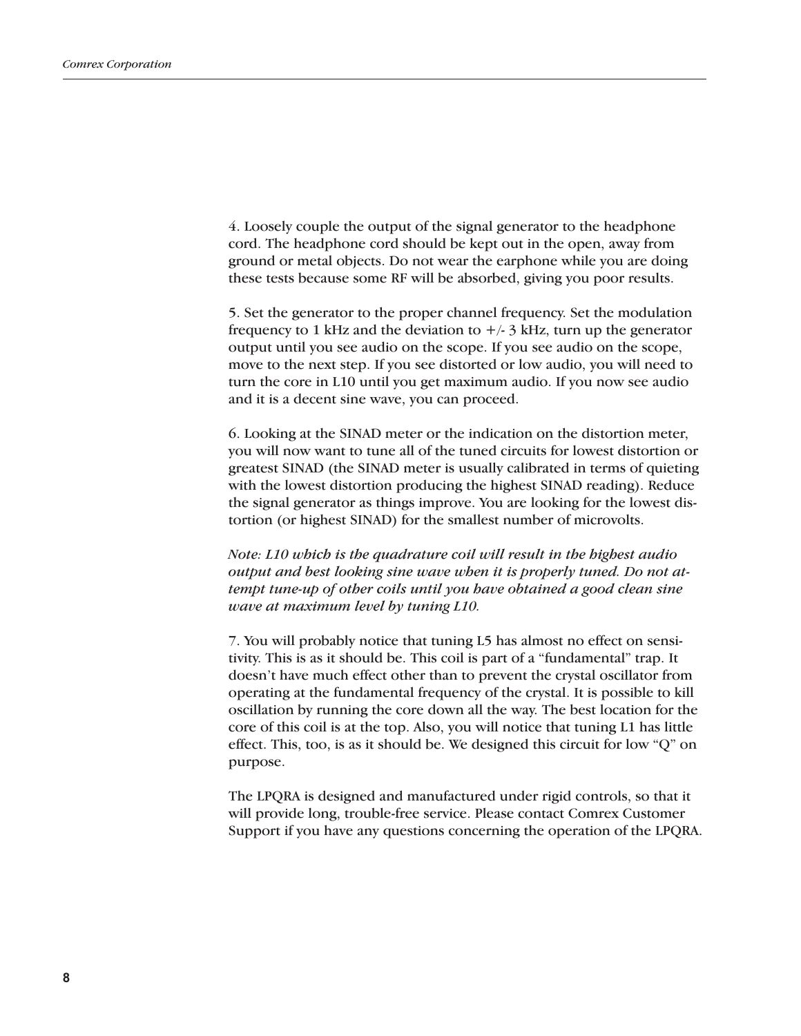4. Loosely couple the output of the signal generator to the headphone cord. The headphone cord should be kept out in the open, away from ground or metal objects. Do not wear the earphone while you are doing these tests because some RF will be absorbed, giving you poor results.

5. Set the generator to the proper channel frequency. Set the modulation frequency to 1 kHz and the deviation to  $+/- 3$  kHz, turn up the generator output until you see audio on the scope. If you see audio on the scope, move to the next step. If you see distorted or low audio, you will need to turn the core in L10 until you get maximum audio. If you now see audio and it is a decent sine wave, you can proceed.

6. Looking at the SINAD meter or the indication on the distortion meter, you will now want to tune all of the tuned circuits for lowest distortion or greatest SINAD (the SINAD meter is usually calibrated in terms of quieting with the lowest distortion producing the highest SINAD reading). Reduce the signal generator as things improve. You are looking for the lowest distortion (or highest SINAD) for the smallest number of microvolts.

*Note: L10 which is the quadrature coil will result in the highest audio output and best looking sine wave when it is properly tuned. Do not attempt tune-up of other coils until you have obtained a good clean sine wave at maximum level by tuning L10.*

7. You will probably notice that tuning L5 has almost no effect on sensitivity. This is as it should be. This coil is part of a "fundamental" trap. It doesn't have much effect other than to prevent the crystal oscillator from operating at the fundamental frequency of the crystal. It is possible to kill oscillation by running the core down all the way. The best location for the core of this coil is at the top. Also, you will notice that tuning L1 has little effect. This, too, is as it should be. We designed this circuit for low "Q" on purpose.

The LPQRA is designed and manufactured under rigid controls, so that it will provide long, trouble-free service. Please contact Comrex Customer Support if you have any questions concerning the operation of the LPQRA.